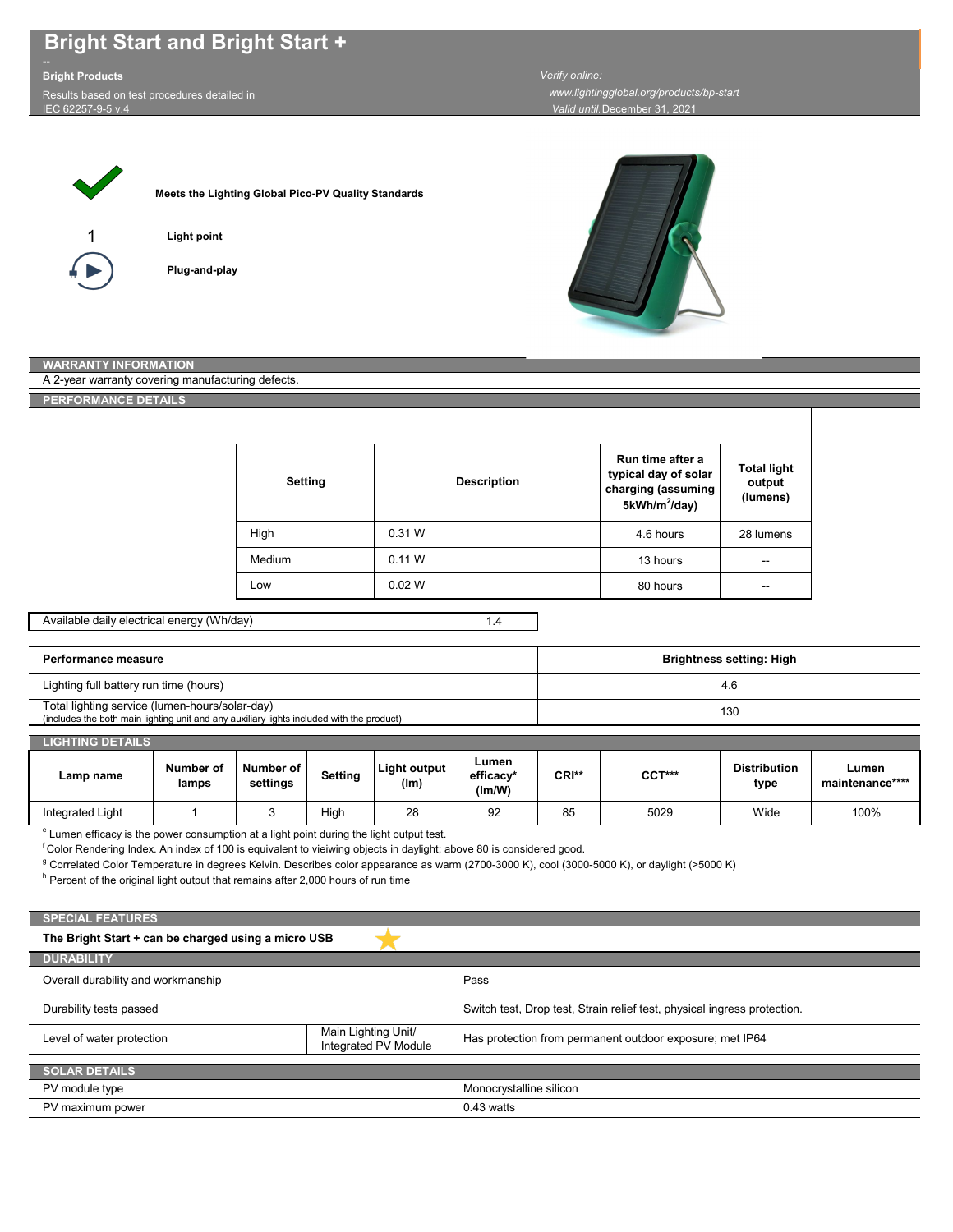# **Bright Start and Bright Start +**

## **Bright Products**

Results based on test procedures detailed in IEC 62257-9-5 v.4

*Valid until:*December 31, 2021  *www.lightingglobal.org/products/bp-start Verify online:* 



**Meets the Lighting Global Pico-PV Quality Standards**



**Light point**



**Plug-and-play**



#### **WARRANTY INFORMATION**

A 2-year warranty covering manufacturing defects.

**PERFORMANCE DETAILS**

| <b>Setting</b> | <b>Description</b> | Run time after a<br>typical day of solar<br>charging (assuming<br>5kWh/m <sup>2</sup> /day) | <b>Total light</b><br>output<br>(lumens) |
|----------------|--------------------|---------------------------------------------------------------------------------------------|------------------------------------------|
| High           | 0.31 W             | 4.6 hours                                                                                   | 28 lumens                                |
| Medium         | 0.11 W             | 13 hours                                                                                    | --                                       |
| Low            | 0.02 W             | 80 hours                                                                                    | --                                       |

#### Available daily electrical energy (Wh/day)

1.4

| Performance measure                                                                                                                         | Brightness setting: High |
|---------------------------------------------------------------------------------------------------------------------------------------------|--------------------------|
| Lighting full battery run time (hours)                                                                                                      | 4.6                      |
| Total lighting service (lumen-hours/solar-day)<br>(includes the both main lighting unit and any auxiliary lights included with the product) | 130                      |

| Number of | Number of | Light output | Lumen<br>$-0.001 - 0.001$ | $CDI**$ | Distri |
|-----------|-----------|--------------|---------------------------|---------|--------|

| Lamp name        | Number of<br>lamps | Number of<br>settings | Setting | Light output<br>(lm) | Lumen<br>efficacy*<br>(lm/W) | CRI** | CCT*** | <b>Distribution</b><br>type | Lumen<br>maintenance**** |
|------------------|--------------------|-----------------------|---------|----------------------|------------------------------|-------|--------|-----------------------------|--------------------------|
| Integrated Light |                    |                       | High    | 28                   | 92                           | 85    | 5029   | Wide                        | 100%                     |

<sup>e</sup> Lumen efficacy is the power consumption at a light point during the light output test.

f Color Rendering Index. An index of 100 is equivalent to vieiwing objects in daylight; above 80 is considered good.

<sup>g</sup> Correlated Color Temperature in degrees Kelvin. Describes color appearance as warm (2700-3000 K), cool (3000-5000 K), or daylight (>5000 K)

 $^{\rm h}$  Percent of the original light output that remains after 2,000 hours of run time

### **The Bright Start + can be charged using a micro USB**  Has protection from permanent outdoor exposure; met IP64 **DURABILITY** Level of water protection **SPECIAL FEATURES** Main Lighting Unit/ Integrated PV Module **SOLAR DETAILS** PV module type PV maximum power Monocrystalline silicon 0.43 watts Overall durability and workmanship Pass Durability tests passed Switch test, Drop test, Strain relief test, physical ingress protection.